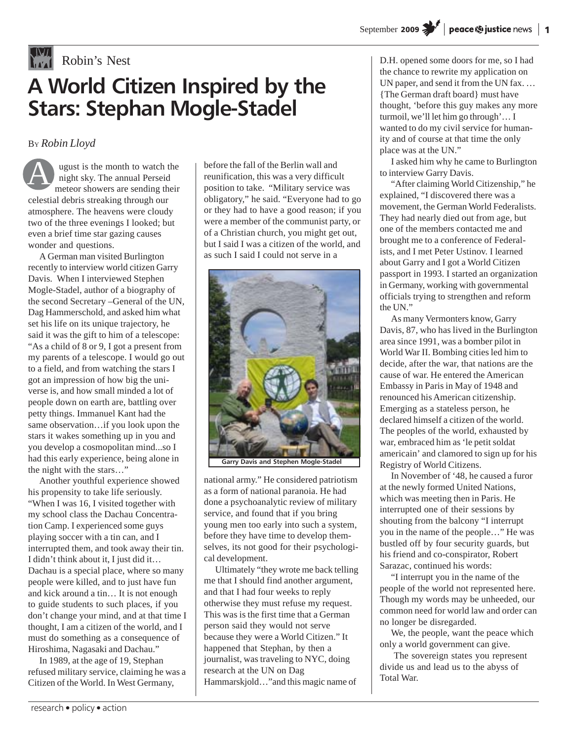# **Robin's Nest A World Citizen Inspired by the Stars: Stephan Mogle-Stadel**

BY *Robin Lloyd*

ugust is the month to watch the night sky. The annual Perseid meteor showers are sending their celestial debris streaking through our atmosphere. The heavens were cloudy two of the three evenings I looked; but even a brief time star gazing causes wonder and questions. A

A German man visited Burlington recently to interview world citizen Garry Davis. When I interviewed Stephen Mogle-Stadel, author of a biography of the second Secretary –General of the UN, Dag Hammerschold, and asked him what set his life on its unique trajectory, he said it was the gift to him of a telescope: "As a child of 8 or 9, I got a present from my parents of a telescope. I would go out to a field, and from watching the stars I got an impression of how big the universe is, and how small minded a lot of people down on earth are, battling over petty things. Immanuel Kant had the same observation…if you look upon the stars it wakes something up in you and you develop a cosmopolitan mind...so I had this early experience, being alone in the night with the stars…"

Another youthful experience showed his propensity to take life seriously. "When I was 16, I visited together with my school class the Dachau Concentration Camp. I experienced some guys playing soccer with a tin can, and I interrupted them, and took away their tin. I didn't think about it, I just did it… Dachau is a special place, where so many people were killed, and to just have fun and kick around a tin… It is not enough to guide students to such places, if you don't change your mind, and at that time I thought, I am a citizen of the world, and I must do something as a consequence of Hiroshima, Nagasaki and Dachau."

In 1989, at the age of 19, Stephan refused military service, claiming he was a Citizen of the World. In West Germany,

before the fall of the Berlin wall and reunification, this was a very difficult position to take. "Military service was obligatory," he said. "Everyone had to go or they had to have a good reason; if you were a member of the communist party, or of a Christian church, you might get out, but I said I was a citizen of the world, and as such I said I could not serve in a



**Garry Davis and Stephen Mogle-Stadel**

national army." He considered patriotism as a form of national paranoia. He had done a psychoanalytic review of military service, and found that if you bring young men too early into such a system, before they have time to develop themselves, its not good for their psychological development.

Ultimately "they wrote me back telling me that I should find another argument, and that I had four weeks to reply otherwise they must refuse my request. This was is the first time that a German person said they would not serve because they were a World Citizen." It happened that Stephan, by then a journalist, was traveling to NYC, doing research at the UN on Dag Hammarskjold…"and this magic name of

D.H. opened some doors for me, so I had the chance to rewrite my application on UN paper, and send it from the UN fax... {The German draft board} must have thought, 'before this guy makes any more turmoil, we'll let him go through'… I wanted to do my civil service for humanity and of course at that time the only place was at the UN."

I asked him why he came to Burlington to interview Garry Davis.

"After claiming World Citizenship," he explained, "I discovered there was a movement, the German World Federalists. They had nearly died out from age, but one of the members contacted me and brought me to a conference of Federalists, and I met Peter Ustinov. I learned about Garry and I got a World Citizen passport in 1993. I started an organization in Germany, working with governmental officials trying to strengthen and reform the UN."

As many Vermonters know, Garry Davis, 87, who has lived in the Burlington area since 1991, was a bomber pilot in World War II. Bombing cities led him to decide, after the war, that nations are the cause of war. He entered the American Embassy in Paris in May of 1948 and renounced his American citizenship. Emerging as a stateless person, he declared himself a citizen of the world. The peoples of the world, exhausted by war, embraced him as 'le petit soldat americain' and clamored to sign up for his Registry of World Citizens.

In November of '48, he caused a furor at the newly formed United Nations, which was meeting then in Paris. He interrupted one of their sessions by shouting from the balcony "I interrupt you in the name of the people…" He was bustled off by four security guards, but his friend and co-conspirator, Robert Sarazac, continued his words:

"I interrupt you in the name of the people of the world not represented here. Though my words may be unheeded, our common need for world law and order can no longer be disregarded.

We, the people, want the peace which only a world government can give.

 The sovereign states you represent divide us and lead us to the abyss of Total War.